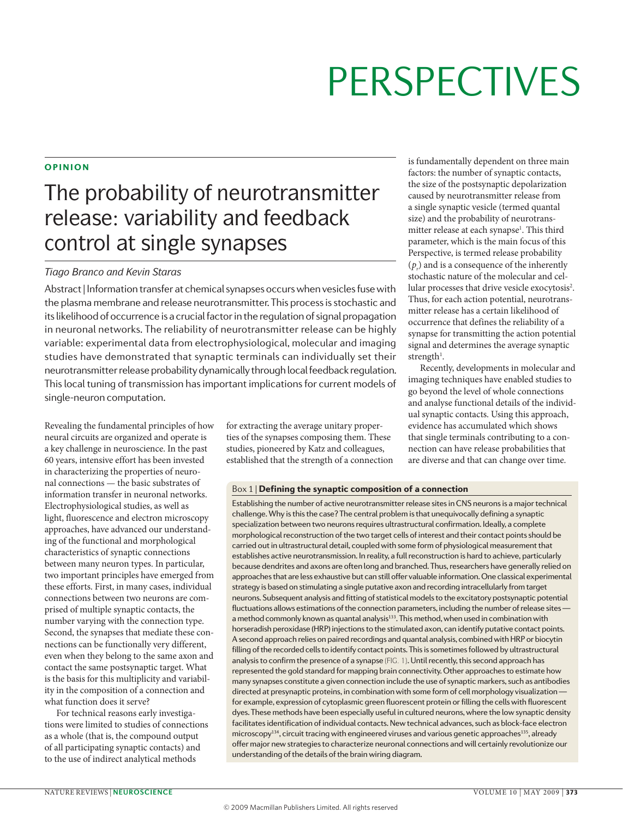### **OPINION**

# The probability of neurotransmitter release: variability and feedback control at single synapses

### *Tiago Branco and Kevin Staras*

Abstract | Information transfer at chemical synapses occurs when vesicles fuse with the plasma membrane and release neurotransmitter. This process is stochastic and its likelihood of occurrence is a crucial factor in the regulation of signal propagation in neuronal networks. The reliability of neurotransmitter release can be highly variable: experimental data from electrophysiological, molecular and imaging studies have demonstrated that synaptic terminals can individually set their neurotransmitter release probability dynamically through local feedback regulation. This local tuning of transmission has important implications for current models of single-neuron computation.

Revealing the fundamental principles of how neural circuits are organized and operate is a key challenge in neuroscience. In the past 60 years, intensive effort has been invested in characterizing the properties of neuronal connections — the basic substrates of information transfer in neuronal networks. Electrophysiological studies, as well as light, fluorescence and electron microscopy approaches, have advanced our understanding of the functional and morphological characteristics of synaptic connections between many neuron types. In particular, two important principles have emerged from these efforts. First, in many cases, individual connections between two neurons are comprised of multiple synaptic contacts, the number varying with the connection type. Second, the synapses that mediate these connections can be functionally very different, even when they belong to the same axon and contact the same postsynaptic target. What is the basis for this multiplicity and variability in the composition of a connection and what function does it serve?

For technical reasons early investigations were limited to studies of connections as a whole (that is, the compound output of all participating synaptic contacts) and to the use of indirect analytical methods

for extracting the average unitary properties of the synapses composing them. These studies, pioneered by Katz and colleagues, established that the strength of a connection

is fundamentally dependent on three main factors: the number of synaptic contacts, the size of the postsynaptic depolarization caused by neurotransmitter release from a single synaptic vesicle (termed quantal size) and the probability of neurotransmitter release at each synapse<sup>1</sup>. This third parameter, which is the main focus of this Perspective, is termed release probability  $(p<sub>r</sub>)$  and is a consequence of the inherently stochastic nature of the molecular and cellular processes that drive vesicle exocytosis<sup>2</sup>. Thus, for each action potential, neurotransmitter release has a certain likelihood of occurrence that defines the reliability of a synapse for transmitting the action potential signal and determines the average synaptic strength<sup>1</sup>.

Recently, developments in molecular and imaging techniques have enabled studies to go beyond the level of whole connections and analyse functional details of the individual synaptic contacts. Using this approach, evidence has accumulated which shows that single terminals contributing to a connection can have release probabilities that are diverse and that can change over time.

### Box 1 | Defining the synaptic composition of a connection

Establishing the number of active neurotransmitter release sites in CNS neurons is a major technical challenge. Why is this the case? The central problem is that unequivocally defining a synaptic specialization between two neurons requires ultrastructural confirmation. Ideally, a complete morphological reconstruction of the two target cells of interest and their contact points should be carried out in ultrastructural detail, coupled with some form of physiological measurement that establishes active neurotransmission. In reality, a full reconstruction is hard to achieve, particularly because dendrites and axons are often long and branched. Thus, researchers have generally relied on approaches that are less exhaustive but can still offer valuable information. One classical experimental strategy is based on stimulating a single putative axon and recording intracellularly from target neurons. Subsequent analysis and fitting of statistical models to the excitatory postsynaptic potential fluctuations allows estimations of the connection parameters, including the number of release sites a method commonly known as quantal analysis<sup>133</sup>. This method, when used in combination with horseradish peroxidase (HRP) injections to the stimulated axon, can identify putative contact points. A second approach relies on paired recordings and quantal analysis, combined with HRP or biocytin filling of the recorded cells to identify contact points. This is sometimes followed by ultrastructural analysis to confirm the presence of a synapse (FIG. 1). Until recently, this second approach has represented the gold standard for mapping brain connectivity. Other approaches to estimate how many synapses constitute a given connection include the use of synaptic markers, such as antibodies directed at presynaptic proteins, in combination with some form of cell morphology visualization for example, expression of cytoplasmic green fluorescent protein or filling the cells with fluorescent dyes. These methods have been especially useful in cultured neurons, where the low synaptic density facilitates identification of individual contacts. New technical advances, such as block-face electron microscopy<sup>134</sup>, circuit tracing with engineered viruses and various genetic approaches<sup>135</sup>, already offer major new strategies to characterize neuronal connections and will certainly revolutionize our understanding of the details of the brain wiring diagram.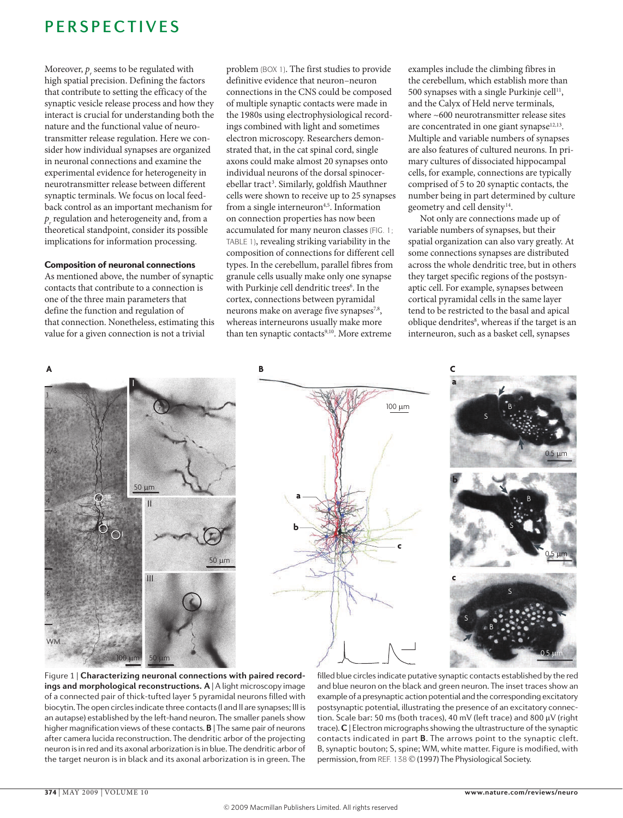Moreover,  $p_r$  seems to be regulated with high spatial precision. Defining the factors that contribute to setting the efficacy of the synaptic vesicle release process and how they interact is crucial for understanding both the nature and the functional value of neurotransmitter release regulation. Here we consider how individual synapses are organized in neuronal connections and examine the experimental evidence for heterogeneity in neurotransmitter release between different synaptic terminals. We focus on local feedback control as an important mechanism for  $p_r$  regulation and heterogeneity and, from a theoretical standpoint, consider its possible implications for information processing.

### Composition of neuronal connections

As mentioned above, the number of synaptic contacts that contribute to a connection is one of the three main parameters that define the function and regulation of that connection. Nonetheless, estimating this value for a given connection is not a trivial

problem (BOX 1). The first studies to provide definitive evidence that neuron–neuron connections in the CNS could be composed of multiple synaptic contacts were made in the 1980s using electrophysiological recordings combined with light and sometimes electron microscopy. Researchers demonstrated that, in the cat spinal cord, single axons could make almost 20 synapses onto individual neurons of the dorsal spinocerebellar tract<sup>3</sup>. Similarly, goldfish Mauthner cells were shown to receive up to 25 synapses from a single interneuron<sup>4,5</sup>. Information on connection properties has now been accumulated for many neuron classes (FIG. 1; TABLE 1), revealing striking variability in the composition of connections for different cell types. In the cerebellum, parallel fibres from granule cells usually make only one synapse with Purkinje cell dendritic trees<sup>6</sup>. In the cortex, connections between pyramidal neurons make on average five synapses<sup>7,8</sup>, whereas interneurons usually make more than ten synaptic contacts<sup>9,10</sup>. More extreme

examples include the climbing fibres in the cerebellum, which establish more than 500 synapses with a single Purkinje cell $11$ , and the Calyx of Held nerve terminals, where ~600 neurotransmitter release sites are concentrated in one giant synapse<sup>12,13</sup>. multiple and variable numbers of synapses are also features of cultured neurons. In primary cultures of dissociated hippocampal cells, for example, connections are typically comprised of 5 to 20 synaptic contacts, the number being in part determined by culture geometry and cell density<sup>14</sup>.

Not only are connections made up of variable numbers of synapses, but their spatial organization can also vary greatly. At some connections synapses are distributed across the whole dendritic tree, but in others they target specific regions of the postsynaptic cell. For example, synapses between cortical pyramidal cells in the same layer tend to be restricted to the basal and apical oblique dendrites<sup>8</sup>, whereas if the target is an interneuron, such as a basket cell, synapses







Figure 1 | **characterizing neuronal connections with paired recordings and morphological reconstructions. A** | A light microscopy image of a connected pair of thick-tufted layer 5 pyramidal neurons filled with biocytin. The open circles indicate three contacts (I and II are synapses; III is an autapse) established by the left-hand neuron. The smaller panels show higher magnification views of these contacts. **B** | The same pair of neurons after camera lucida reconstruction. The dendritic arbor of the projecting neuron is in red and its axonal arborization is in blue. The dendritic arbor of the target neuron is in black and its axonal arborization is in green. The

**Nature Reviews** | **Neuroscience** example of a presynaptic action potential and the corresponding excitatory filled blue circles indicate putative synaptic contacts established by the red and blue neuron on the black and green neuron. The inset traces show an postsynaptic potential, illustrating the presence of an excitatory connection. Scale bar: 50 ms (both traces), 40 mV (left trace) and 800 μV (right trace). **C** | Electron micrographs showing the ultrastructure of the synaptic contacts indicated in part **B**. The arrows point to the synaptic cleft. B, synaptic bouton; s, spine; WM, white matter. Figure is modified, with permission, from REF. 138 © (1997) The Physiological Society.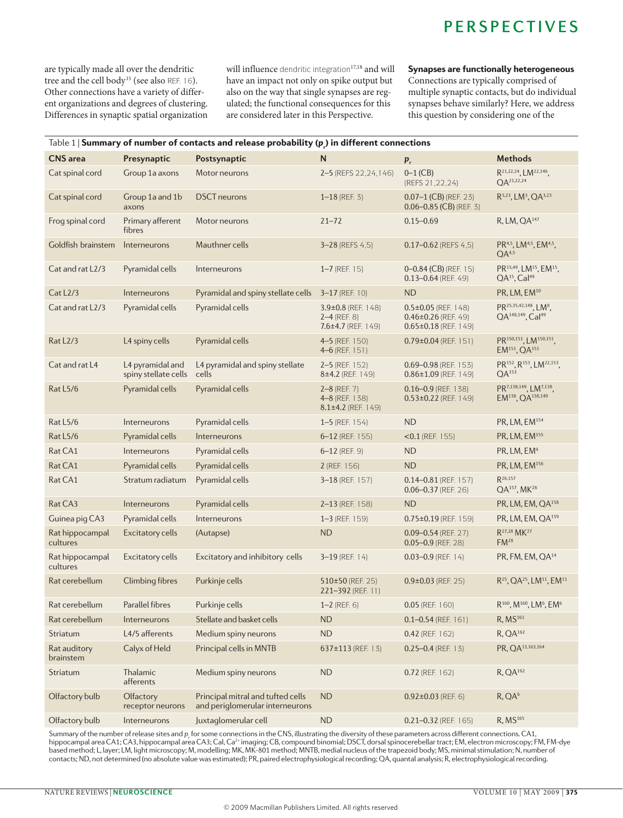are typically made all over the dendritic tree and the cell body<sup>15</sup> (see also REF. 16). Other connections have a variety of different organizations and degrees of clustering. Differences in synaptic spatial organization will influence dendritic integration<sup>17,18</sup> and will have an impact not only on spike output but also on the way that single synapses are regulated; the functional consequences for this are considered later in this Perspective.

Synapses are functionally heterogeneous

Connections are typically comprised of multiple synaptic contacts, but do individual synapses behave similarly? Here, we address this question by considering one of the

| Table 1   Summary of number of contacts and release probability (p <sub>.</sub> ) in different connections |                                          |                                                                      |                                                                        |                                                                                      |                                                                                                     |
|------------------------------------------------------------------------------------------------------------|------------------------------------------|----------------------------------------------------------------------|------------------------------------------------------------------------|--------------------------------------------------------------------------------------|-----------------------------------------------------------------------------------------------------|
| <b>CNS</b> area                                                                                            | Presynaptic                              | Postsynaptic                                                         | N                                                                      | $\boldsymbol{p}_r$                                                                   | <b>Methods</b>                                                                                      |
| Cat spinal cord                                                                                            | Group 1a axons                           | Motor neurons                                                        | 2-5 (REFS 22, 24, 146)                                                 | $0-1$ (CB)<br>(REFS 21, 22, 24)                                                      | R <sup>21,22,24</sup> , LM <sup>22,146</sup> ,<br>$OA^{21,22,24}$                                   |
| Cat spinal cord                                                                                            | Group 1a and 1b<br>axons                 | <b>DSCT</b> neurons                                                  | $1-18$ (REF. 3)                                                        | $0.07-1$ (CB) (REF. 23)<br>$0.06 - 0.85$ (CB) (REF. 3)                               | R <sup>3,23</sup> , LM <sup>3</sup> , QA <sup>3,23</sup>                                            |
| Frog spinal cord                                                                                           | Primary afferent<br>fibres               | Motor neurons                                                        | $21 - 72$                                                              | $0.15 - 0.69$                                                                        | R, LM, QA <sup>147</sup>                                                                            |
| Goldfish brainstem                                                                                         | Interneurons                             | Mauthner cells                                                       | 3-28 (REFS 4,5)                                                        | $0.17 - 0.62$ (REFS 4,5)                                                             | PR <sup>4,5</sup> , LM <sup>4,5</sup> , EM <sup>4,5</sup> ,<br>OA <sup>4,5</sup>                    |
| Cat and rat L2/3                                                                                           | Pyramidal cells                          | Interneurons                                                         | $1 - 7$ (REF. 15)                                                      | $0 - 0.84$ (CB) (REF. 15)<br>$0.13 - 0.64$ (REF. 49)                                 | PR <sup>15,49</sup> , LM <sup>15</sup> , EM <sup>15</sup> ,<br>QA <sup>15</sup> , Cal <sup>49</sup> |
| Cat L <sub>2</sub> /3                                                                                      | Interneurons                             | Pyramidal and spiny stellate cells                                   | $3-17$ (REF. 10)                                                       | <b>ND</b>                                                                            | PR, LM, EM <sup>10</sup>                                                                            |
| Cat and rat L2/3                                                                                           | Pyramidal cells                          | Pyramidal cells                                                      | $3.9 \pm 0.8$ (REF. 148)<br>$2-4$ (REF. 8)<br>$7.6 \pm 4.7$ (REF. 149) | $0.5 \pm 0.05$ (REF. 148)<br>$0.46 \pm 0.26$ (REF. 49)<br>$0.65 \pm 0.18$ (REF. 149) | PR <sup>25,35,42,148</sup> , LM <sup>8</sup> ,<br>QA <sup>148,149</sup> , Cal <sup>49</sup>         |
| Rat L2/3                                                                                                   | L4 spiny cells                           | Pyramidal cells                                                      | 4-5 (REF. 150)<br>$4-6$ (REF. 151)                                     | $0.79 \pm 0.04$ (REF. 151)                                                           | PR <sup>150,151</sup> , LM <sup>150,151</sup> ,<br>EM <sup>151</sup> , QA <sup>151</sup>            |
| Cat and rat L4                                                                                             | L4 pyramidal and<br>spiny stellate cells | L4 pyramidal and spiny stellate<br>cells                             | 2-5 (REF. 152)<br>8±4.2 (REF. 149)                                     | $0.69 - 0.98$ (REF. 153)<br>$0.86 \pm 1.09$ (REF. 149)                               | PR <sup>152</sup> , R <sup>153</sup> , LM <sup>22,153</sup> ,<br>QA <sup>153</sup>                  |
| Rat L5/6                                                                                                   | Pyramidal cells                          | Pyramidal cells                                                      | $2 - 8$ (REF. 7)<br>4-8 (REF. 138)<br>$8.1 \pm 4.2$ (REF. 149)         | $0.16 - 0.9$ (REF. 138)<br>$0.53 \pm 0.22$ (REF. 149)                                | PR <sup>7,138,149</sup> , LM <sup>7,138</sup> ,<br>EM <sup>138</sup> , QA <sup>138,149</sup>        |
| Rat L5/6                                                                                                   | Interneurons                             | Pyramidal cells                                                      | $1-5$ (REF. 154)                                                       | <b>ND</b>                                                                            | PR, LM, EM <sup>154</sup>                                                                           |
| Rat L5/6                                                                                                   | Pyramidal cells                          | Interneurons                                                         | 6-12 (REF. 155)                                                        | $<$ 0.1 (REF. 155)                                                                   | PR, LM, EM <sup>155</sup>                                                                           |
| Rat CA1                                                                                                    | Interneurons                             | Pyramidal cells                                                      | $6-12$ (REF. 9)                                                        | <b>ND</b>                                                                            | PR, LM, EM <sup>9</sup>                                                                             |
| Rat CA1                                                                                                    | Pyramidal cells                          | Pyramidal cells                                                      | 2 (REF. 156)                                                           | <b>ND</b>                                                                            | PR, LM, EM <sup>156</sup>                                                                           |
| Rat CA1                                                                                                    | Stratum radiatum                         | Pyramidal cells                                                      | 3-18 (REF. 157)                                                        | $0.14 - 0.81$ (REF. 157)<br>$0.06 - 0.37$ (REF. 26)                                  | R <sub>26,157</sub><br>QA <sup>157</sup> , MK <sup>26</sup>                                         |
| Rat CA3                                                                                                    | Interneurons                             | Pyramidal cells                                                      | 2-13 (REF. 158)                                                        | <b>ND</b>                                                                            | PR, LM, EM, QA <sup>158</sup>                                                                       |
| Guinea pig CA3                                                                                             | Pyramidal cells                          | Interneurons                                                         | $1 - 3$ (REF. 159)                                                     | $0.75 \pm 0.19$ (REF. 159)                                                           | PR, LM, EM, QA <sup>159</sup>                                                                       |
| Rat hippocampal<br>cultures                                                                                | Excitatory cells                         | (Autapse)                                                            | <b>ND</b>                                                              | $0.09 - 0.54$ (REF. 27)<br>$0.05 - 0.9$ (REF. 28)                                    | R <sup>27,28</sup> MK <sup>27</sup><br>FM <sup>28</sup>                                             |
| Rat hippocampal<br>cultures                                                                                | Excitatory cells                         | Excitatory and inhibitory cells                                      | $3-19$ (REF. 14)                                                       | $0.03 - 0.9$ (REF. 14)                                                               | PR, FM, EM, QA <sup>14</sup>                                                                        |
| Rat cerebellum                                                                                             | Climbing fibres                          | Purkinje cells                                                       | $510±50$ (REF. 25)<br>221-392 (REF. 11)                                | $0.9 \pm 0.03$ (REF. 25)                                                             | R <sup>25</sup> , OA <sup>25</sup> , LM <sup>11</sup> , EM <sup>11</sup>                            |
| Rat cerebellum                                                                                             | Parallel fibres                          | Purkinje cells                                                       | $1 - 2$ (REF. 6)                                                       | $0.05$ (REF. 160)                                                                    | R <sup>160</sup> , M <sup>160</sup> , LM <sup>6</sup> , EM <sup>6</sup>                             |
| Rat cerebellum                                                                                             | Interneurons                             | Stellate and basket cells                                            | <b>ND</b>                                                              | $0.1 - 0.54$ (REF. 161)                                                              | $R, MS^{161}$                                                                                       |
| Striatum                                                                                                   | L4/5 afferents                           | Medium spiny neurons                                                 | ND                                                                     | 0.42 (REF. 162)                                                                      | $R, QA^{162}$                                                                                       |
| Rat auditory<br>brainstem                                                                                  | Calyx of Held                            | Principal cells in MNTB                                              | 637±113 (REF. 13)                                                      | $0.25 - 0.4$ (REF. 13)                                                               | PR, QA13,163,164                                                                                    |
| Striatum                                                                                                   | Thalamic<br>afferents                    | Medium spiny neurons                                                 | ND                                                                     | $0.72$ (REF. 162)                                                                    | R, QA <sup>162</sup>                                                                                |
| Olfactory bulb                                                                                             | Olfactory<br>receptor neurons            | Principal mitral and tufted cells<br>and periglomerular interneurons | <b>ND</b>                                                              | $0.92 \pm 0.03$ (REF. 6)                                                             | R, QA <sup>6</sup>                                                                                  |
| Olfactory bulb                                                                                             | Interneurons                             | Juxtaglomerular cell                                                 | ND                                                                     | $0.21 - 0.32$ (REF. 165)                                                             | R, MS <sup>165</sup>                                                                                |

Summary of the number of release sites and *p<sub>r</sub>* for some connections in the CNS, illustrating the diversity of these parameters across different connections. CA1, hippocampal area CA1; CA3, hippocampal area CA3; CaI, Ca<sup>2+</sup> imaging; CB, compound binomial; DSCT, dorsal spinocerebellar tract; EM, electron microscopy; FM, FM-dye<br>based method; L, layer; LM, light microscopy; M, modellin contacts; ND, not determined (no absolute value was estimated); Pr, paired electrophysiological recording; QA, quantal analysis; r, electrophysiological recording.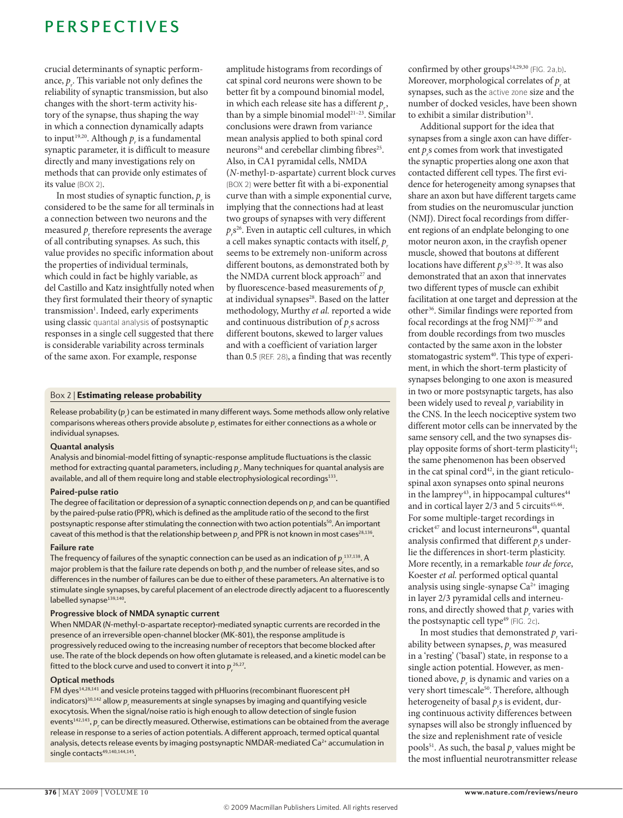crucial determinants of synaptic performance,  $p_r$ . This variable not only defines the reliability of synaptic transmission, but also changes with the short-term activity history of the synapse, thus shaping the way in which a connection dynamically adapts to input<sup>19,20</sup>. Although  $p_r$  is a fundamental synaptic parameter, it is difficult to measure directly and many investigations rely on methods that can provide only estimates of its value (BOX 2).

In most studies of synaptic function,  $p_r$  is considered to be the same for all terminals in a connection between two neurons and the measured  $p_r$ , therefore represents the average of all contributing synapses. As such, this value provides no specific information about the properties of individual terminals, which could in fact be highly variable, as del Castillo and Katz insightfully noted when they first formulated their theory of synaptic transmission<sup>1</sup>. Indeed, early experiments using classic quantal analysis of postsynaptic responses in a single cell suggested that there is considerable variability across terminals of the same axon. For example, response

amplitude histograms from recordings of cat spinal cord neurons were shown to be better fit by a compound binomial model, in which each release site has a different  $p_r$ , than by a simple binomial model<sup>21-23</sup>. Similar conclusions were drawn from variance mean analysis applied to both spinal cord neurons<sup>24</sup> and cerebellar climbing fibres<sup>25</sup>. also, in Ca1 pyramidal cells, nmDa (*N*-methyl-D-aspartate) current block curves (BOX 2) were better fit with a bi-exponential curve than with a simple exponential curve, implying that the connections had at least two groups of synapses with very different  $p_r$ s<sup>26</sup>. Even in autaptic cell cultures, in which a cell makes synaptic contacts with itself, *p* seems to be extremely non-uniform across different boutons, as demonstrated both by the NMDA current block approach<sup>27</sup> and by fluorescence-based measurements of  $p_{n}$ at individual synapses<sup>28</sup>. Based on the latter methodology, murthy *et al.* reported a wide and continuous distribution of  $p_r$ s across different boutons, skewed to larger values and with a coefficient of variation larger than 0.5 (REF. 28), a finding that was recently

### Box 2 | Estimating release probability

Release probability (*pr* ) can be estimated in many different ways. Some methods allow only relative comparisons whereas others provide absolute  $p_{_{r}}$ estimates for either connections as a whole or individual synapses.

### **Quantal analysis**

Analysis and binomial-model fitting of synaptic-response amplitude fluctuations is the classic method for extracting quantal parameters, including *pr* . Many techniques for quantal analysis are available, and all of them require long and stable electrophysiological recordings<sup>133</sup>.

### **Paired-pulse ratio**

The degree of facilitation or depression of a synaptic connection depends on  $p_{_{\rm r}}$  and can be quantified by the paired-pulse ratio (PPR), which is defined as the amplitude ratio of the second to the first postsynaptic response after stimulating the connection with two action potentials<sup>50</sup>. An important caveat of this method is that the relationship between  $p_{_{r}}$  and PPR is not known in most cases $^{28,136}\!$ .

### **Failure rate**

The frequency of failures of the synaptic connection can be used as an indication of  $p_{_r}^{\,\,137,138}$ . A major problem is that the failure rate depends on both  $p_{_{r}}$  and the number of release sites, and so differences in the number of failures can be due to either of these parameters. An alternative is to stimulate single synapses, by careful placement of an electrode directly adjacent to a fluorescently labelled synapse $139,140$ .

### **Progressive block of NMDA synaptic current**

When NMDAR (N-methyl-D-aspartate receptor)-mediated synaptic currents are recorded in the presence of an irreversible open-channel blocker (MK-801), the response amplitude is progressively reduced owing to the increasing number of receptors that become blocked after use. The rate of the block depends on how often glutamate is released, and a kinetic model can be fitted to the block curve and used to convert it into  $p_{\mathrm{r}}^{~26,27}.$ 

### **optical methods**

FM dyes<sup>14,28,141</sup> and vesicle proteins tagged with pHluorins (recombinant fluorescent pH indicators)<sup>30,142</sup> allow  $p_{_r}$ measurements at single synapses by imaging and quantifying vesicle exocytosis. When the signal/noise ratio is high enough to allow detection of single fusion events<sup>142,143</sup>,  $p_{_{r}}$  can be directly measured. Otherwise, estimations can be obtained from the average release in response to a series of action potentials. A different approach, termed optical quantal analysis, detects release events by imaging postsynaptic NMDAR-mediated Ca<sup>2+</sup> accumulation in single contacts<sup>49,140,144,145</sup>.

confirmed by other groups<sup>14,29,30</sup> (FIG. 2a,b). Moreover, morphological correlates of  $p<sub>r</sub>$  at synapses, such as the active zone size and the number of docked vesicles, have been shown to exhibit a similar distribution<sup>31</sup>.

additional support for the idea that synapses from a single axon can have different  $p_r$ s comes from work that investigated the synaptic properties along one axon that contacted different cell types. The first evidence for heterogeneity among synapses that share an axon but have different targets came from studies on the neuromuscular junction (NMJ). Direct focal recordings from different regions of an endplate belonging to one motor neuron axon, in the crayfish opener muscle, showed that boutons at different locations have different  $p_r s^{32-35}$ . It was also demonstrated that an axon that innervates two different types of muscle can exhibit facilitation at one target and depression at the other36. Similar findings were reported from focal recordings at the frog NMJ<sup>37-39</sup> and from double recordings from two muscles contacted by the same axon in the lobster stomatogastric system<sup>40</sup>. This type of experiment, in which the short-term plasticity of synapses belonging to one axon is measured in two or more postsynaptic targets, has also been widely used to reveal  $p_r$  variability in the CNS. In the leech nociceptive system two different motor cells can be innervated by the same sensory cell, and the two synapses display opposite forms of short-term plasticity<sup>41</sup>; the same phenomenon has been observed in the cat spinal cord<sup>42</sup>, in the giant reticulospinal axon synapses onto spinal neurons in the lamprey<sup>43</sup>, in hippocampal cultures<sup>44</sup> and in cortical layer 2/3 and 5 circuits<sup>45,46</sup>. For some multiple-target recordings in cricket<sup>47</sup> and locust interneurons<sup>48</sup>, quantal analysis confirmed that different  $p_r$ s underlie the differences in short-term plasticity. more recently, in a remarkable *tour de force*, Koester *et al.* performed optical quantal analysis using single-synapse Ca<sup>2+</sup> imaging in layer 2/3 pyramidal cells and interneurons, and directly showed that  $p_r$  varies with the postsynaptic cell type<sup>49</sup> (FIG. 2c).

In most studies that demonstrated  $p_r$  variability between synapses,  $p_{\scriptscriptstyle r}$  was measured in a 'resting' ('basal') state, in response to a single action potential. However, as mentioned above,  $p_r$  is dynamic and varies on a very short timescale<sup>50</sup>. Therefore, although heterogeneity of basal  $p<sub>r</sub>$ s is evident, during continuous activity differences between synapses will also be strongly influenced by the size and replenishment rate of vesicle pools<sup>51</sup>. As such, the basal  $p_r$  values might be the most influential neurotransmitter release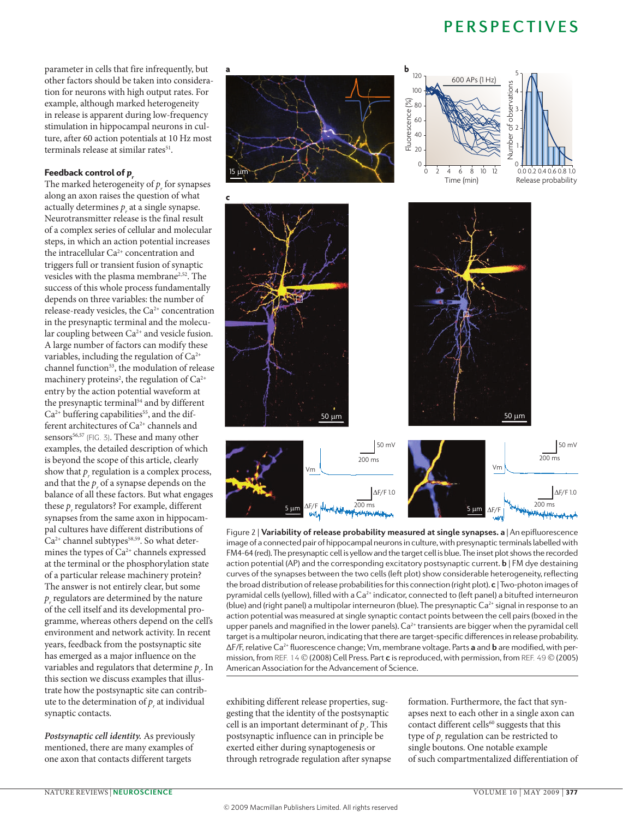### **PFRSPFCTIVES**

parameter in cells that fire infrequently, but other factors should be taken into consideration for neurons with high output rates. For example, although marked heterogeneity in release is apparent during low-frequency stimulation in hippocampal neurons in culture, after 60 action potentials at 10 Hz most terminals release at similar rates<sup>51</sup>.

### Feedback control of *p*<sub>*z*</sub>

The marked heterogeneity of  $p_r$  for synapses along an axon raises the question of what actually determines  $p_r$  at a single synapse. neurotransmitter release is the final result of a complex series of cellular and molecular steps, in which an action potential increases the intracellular Ca<sup>2+</sup> concentration and triggers full or transient fusion of synaptic vesicles with the plasma membrane<sup>2,52</sup>. The success of this whole process fundamentally depends on three variables: the number of release-ready vesicles, the  $Ca<sup>2+</sup>$  concentration in the presynaptic terminal and the molecular coupling between Ca<sup>2+</sup> and vesicle fusion. a large number of factors can modify these variables, including the regulation of  $Ca^{2+}$ channel function<sup>53</sup>, the modulation of release machinery proteins<sup>2</sup>, the regulation of  $Ca^{2+}$ entry by the action potential waveform at the presynaptic terminal<sup>54</sup> and by different Ca<sup>2+</sup> buffering capabilities<sup>55</sup>, and the different architectures of Ca<sup>2+</sup> channels and sensors<sup>56,57</sup> (FIG. 3). These and many other examples, the detailed description of which is beyond the scope of this article, clearly show that  $p_r$  regulation is a complex process, and that the  $p_r$  of a synapse depends on the balance of all these factors. But what engages these  $p_r$  regulators? For example, different synapses from the same axon in hippocampal cultures have different distributions of Ca<sup>2+</sup> channel subtypes<sup>58,59</sup>. So what determines the types of Ca<sup>2+</sup> channels expressed at the terminal or the phosphorylation state of a particular release machinery protein? The answer is not entirely clear, but some  $p<sub>r</sub>$  regulators are determined by the nature of the cell itself and its developmental programme, whereas others depend on the cell's environment and network activity. In recent years, feedback from the postsynaptic site has emerged as a major influence on the variables and regulators that determine  $p_{r}$ . In this section we discuss examples that illustrate how the postsynaptic site can contribute to the determination of  $p_{r}$  at individual synaptic contacts.

Postsynaptic cell identity. As previously mentioned, there are many examples of one axon that contacts different targets



FM4-64 (red). The presynaptic cell is yellow and the target cell is blue. The inset plot shows the recorded Figure 2 | **Variability of release probability measured at single synapses. a** | An epifluorescence image of a connected pair of hippocampal neurons in culture, with presynaptic terminals labelled with action potential (AP) and the corresponding excitatory postsynaptic current. **b** | FM dye destaining curves of the synapses between the two cells (left plot) show considerable heterogeneity, reflecting the broad distribution of release probabilities for this connection (right plot). **c** | Two-photon images of pyramidal cells (yellow), filled with a Ca<sup>2+</sup> indicator, connected to (left panel) a bitufted interneuron (blue) and (right panel) a multipolar interneuron (blue). The presynaptic  $Ca^{2+}$  signal in response to an action potential was measured at single synaptic contact points between the cell pairs (boxed in the upper panels and magnified in the lower panels).  $Ca<sup>2+</sup>$  transients are bigger when the pyramidal cell target is a multipolar neuron, indicating that there are target-specific differences in release probability. ΔF/F, relative ca2+ fluorescence change; vm, membrane voltage. Parts **a** and **b** are modified, with permission, from REF. 14 © (2008) Cell Press. Part **c** is reproduced, with permission, from REF. 49 © (2005) American Association for the Advancement of Science.

exhibiting different release properties, suggesting that the identity of the postsynaptic cell is an important determinant of  $p_r$ . This postsynaptic influence can in principle be exerted either during synaptogenesis or through retrograde regulation after synapse

formation. Furthermore, the fact that synapses next to each other in a single axon can contact different cells<sup>60</sup> suggests that this type of  $p_r$  regulation can be restricted to single boutons. One notable example of such compartmentalized differentiation of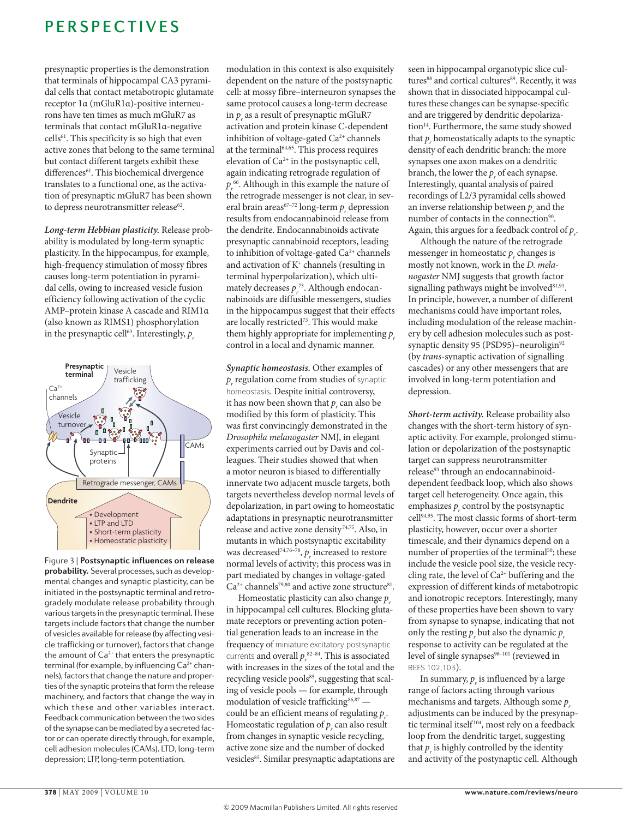presynaptic properties is the demonstration that terminals of hippocampal CA3 pyramidal cells that contact metabotropic glutamate receptor 1α (mGluR1α)-positive interneurons have ten times as much mGluR7 as terminals that contact mGluR1α-negative cells61. This specificity is so high that even active zones that belong to the same terminal but contact different targets exhibit these differences<sup>61</sup>. This biochemical divergence translates to a functional one, as the activation of presynaptic mGluR7 has been shown to depress neurotransmitter release<sup>62</sup>.

*Long-term Hebbian plasticity.* Release probability is modulated by long-term synaptic plasticity. In the hippocampus, for example, high-frequency stimulation of mossy fibres causes long-term potentiation in pyramidal cells, owing to increased vesicle fusion efficiency following activation of the cyclic amP–protein kinase a cascade and RIm1α (also known as RImS1) phosphorylation in the presynaptic cell<sup>63</sup>. Interestingly,  $p_r$ 



probability. Several processes, such as develop-Figure 3 | **Postsynaptic influences on release**  mental changes and synaptic plasticity, can be initiated in the postsynaptic terminal and retrogradely modulate release probability through various targets in the presynaptic terminal. These targets include factors that change the number of vesicles available for release (by affecting vesicle trafficking or turnover), factors that change the amount of  $Ca^{2+}$  that enters the presynaptic terminal (for example, by influencing  $Ca<sup>2+</sup>$  channels), factors that change the nature and properties of the synaptic proteins that form the release machinery, and factors that change the way in which these and other variables interact. Feedback communication between the two sides of the synapse can be mediated by a secreted factor or can operate directly through, for example, cell adhesion molecules (cAMs). LTD, long-term depression; LTP, long-term potentiation.

modulation in this context is also exquisitely dependent on the nature of the postsynaptic cell: at mossy fibre–interneuron synapses the same protocol causes a long-term decrease in  $p_r$  as a result of presynaptic mGluR7 activation and protein kinase C-dependent inhibition of voltage-gated Ca<sup>2+</sup> channels at the terminal<sup>64,65</sup>. This process requires elevation of Ca<sup>2+</sup> in the postsynaptic cell, again indicating retrograde regulation of *pr* 66. although in this example the nature of the retrograde messenger is not clear, in several brain areas<sup>67-72</sup> long-term  $p_r$  depression results from endocannabinoid release from the dendrite. Endocannabinoids activate presynaptic cannabinoid receptors, leading to inhibition of voltage-gated Ca<sup>2+</sup> channels and activation of  $K^+$  channels (resulting in terminal hyperpolarization), which ultimately decreases  $p_r^{\tau_3}$ . Although endocannabinoids are diffusible messengers, studies in the hippocampus suggest that their effects are locally restricted<sup>73</sup>. This would make them highly appropriate for implementing  $p$ <sub>.</sub> control in a local and dynamic manner.

Synaptic homeostasis. Other examples of *pr* regulation come from studies of synaptic homeostasis. Despite initial controversy, it has now been shown that  $p_r$  can also be modified by this form of plasticity. This was first convincingly demonstrated in the *Drosophila melanogaster* NMJ, in elegant experiments carried out by Davis and colleagues. Their studies showed that when a motor neuron is biased to differentially innervate two adjacent muscle targets, both targets nevertheless develop normal levels of depolarization, in part owing to homeostatic adaptations in presynaptic neurotransmitter release and active zone density<sup>74,75</sup>. Also, in mutants in which postsynaptic excitability was decreased<sup>74,76–78</sup>,  $p_r$  increased to restore normal levels of activity; this process was in part mediated by changes in voltage-gated  $Ca^{2+}$  channels<sup>79,80</sup> and active zone structure<sup>81</sup>.

Homeostatic plasticity can also change  $p_{n}$ in hippocampal cell cultures. Blocking glutamate receptors or preventing action potential generation leads to an increase in the frequency of miniature excitatory postsynaptic currents and overall  $p_r^{\text{a2-84}}$ . This is associated with increases in the sizes of the total and the recycling vesicle pools<sup>85</sup>, suggesting that scaling of vesicle pools — for example, through modulation of vesicle trafficking<sup>86,87</sup> could be an efficient means of regulating  $p_r$ . Homeostatic regulation of  $p_r$  can also result from changes in synaptic vesicle recycling, active zone size and the number of docked vesicles<sup>85</sup>. Similar presynaptic adaptations are

seen in hippocampal organotypic slice cultures<sup>88</sup> and cortical cultures<sup>89</sup>. Recently, it was shown that in dissociated hippocampal cultures these changes can be synapse-specific and are triggered by dendritic depolarization<sup>14</sup>. Furthermore, the same study showed that  $p_r$  homeostatically adapts to the synaptic density of each dendritic branch: the more synapses one axon makes on a dendritic branch, the lower the  $p_r$  of each synapse. Interestingly, quantal analysis of paired recordings of l2/3 pyramidal cells showed an inverse relationship between  $p_r$  and the number of contacts in the connection<sup>90</sup>. Again, this argues for a feedback control of  $p_r$ .

although the nature of the retrograde messenger in homeostatic  $p_r$  changes is mostly not known, work in the *D. melanogaster* NMJ suggests that growth factor signalling pathways might be involved $81,91$ . In principle, however, a number of different mechanisms could have important roles, including modulation of the release machinery by cell adhesion molecules such as postsynaptic density 95 (PSD95)-neuroligin<sup>92</sup> (by *trans*-synaptic activation of signalling cascades) or any other messengers that are involved in long-term potentiation and depression.

*Short-term activity.* Release probaility also changes with the short-term history of synaptic activity. For example, prolonged stimulation or depolarization of the postsynaptic target can suppress neurotransmitter release<sup>93</sup> through an endocannabinoiddependent feedback loop, which also shows target cell heterogeneity. Once again, this emphasizes  $p_r$  control by the postsynaptic cell94,95. The most classic forms of short-term plasticity, however, occur over a shorter timescale, and their dynamics depend on a number of properties of the terminal<sup>50</sup>; these include the vesicle pool size, the vesicle recycling rate, the level of  $Ca^{2+}$  buffering and the expression of different kinds of metabotropic and ionotropic receptors. Interestingly, many of these properties have been shown to vary from synapse to synapse, indicating that not only the resting  $p_r$  but also the dynamic  $p_r$ response to activity can be regulated at the level of single synapses<sup>96-101</sup> (reviewed in rEFs 102,103).

In summary,  $p_r$  is influenced by a large range of factors acting through various mechanisms and targets. Although some  $p_r$ adjustments can be induced by the presynaptic terminal itself<sup>104</sup>, most rely on a feedback loop from the dendritic target, suggesting that  $p_r$  is highly controlled by the identity and activity of the postynaptic cell. although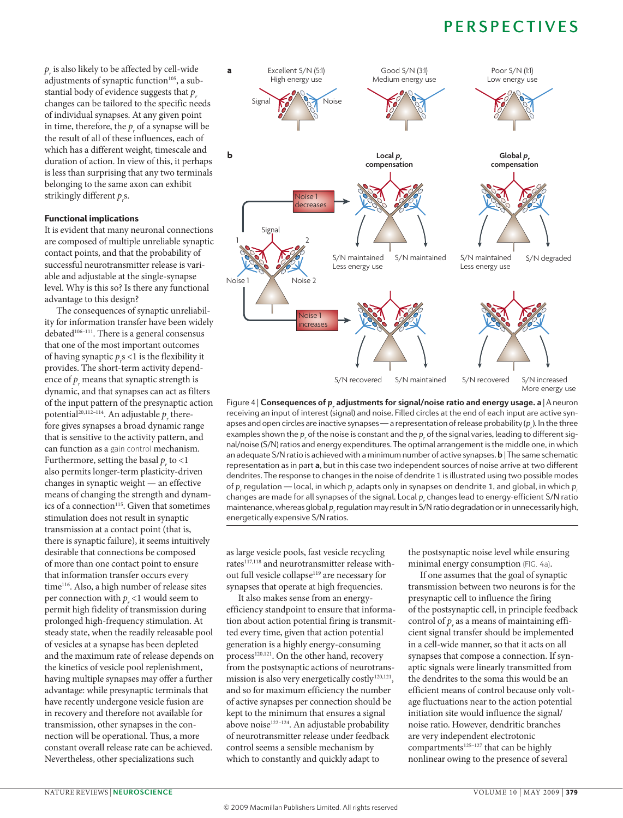### **PFRSPFCTIVES**

*pr* is also likely to be affected by cell-wide adjustments of synaptic function<sup>105</sup>, a substantial body of evidence suggests that *p* changes can be tailored to the specific needs of individual synapses. at any given point in time, therefore, the  $p_r$  of a synapse will be the result of all of these influences, each of which has a different weight, timescale and duration of action. In view of this, it perhaps is less than surprising that any two terminals belonging to the same axon can exhibit strikingly different *p<sub>r</sub>s*.

### Functional implications

It is evident that many neuronal connections are composed of multiple unreliable synaptic contact points, and that the probability of successful neurotransmitter release is variable and adjustable at the single-synapse level. Why is this so? Is there any functional advantage to this design?

The consequences of synaptic unreliability for information transfer have been widely debated<sup>106-111</sup>. There is a general consensus that one of the most important outcomes of having synaptic  $p_r s < 1$  is the flexibility it provides. The short-term activity dependence of  $p_r$  means that synaptic strength is dynamic, and that synapses can act as filters of the input pattern of the presynaptic action potential<sup>20,112–114</sup>. An adjustable  $p_r$  therefore gives synapses a broad dynamic range that is sensitive to the activity pattern, and can function as a gain control mechanism. Furthermore, setting the basal  $p_r$  to <1 also permits longer-term plasticity-driven changes in synaptic weight — an effective means of changing the strength and dynamics of a connection<sup>115</sup>. Given that sometimes stimulation does not result in synaptic transmission at a contact point (that is, there is synaptic failure), it seems intuitively desirable that connections be composed of more than one contact point to ensure that information transfer occurs every time<sup>116</sup>. Also, a high number of release sites per connection with  $p_r < 1$  would seem to permit high fidelity of transmission during prolonged high-frequency stimulation. at steady state, when the readily releasable pool of vesicles at a synapse has been depleted and the maximum rate of release depends on the kinetics of vesicle pool replenishment, having multiple synapses may offer a further advantage: while presynaptic terminals that have recently undergone vesicle fusion are in recovery and therefore not available for transmission, other synapses in the connection will be operational. Thus, a more constant overall release rate can be achieved. Nevertheless, other specializations such



receiving an input of interest (signal) and noise. Filled circles at the end of each input are active syn-**Figure 4 | Consequences of**  $p_{r}$  **adjustments for signal/noise ratio and energy usage. a | A neuron** apses and open circles are inactive synapses — a representation of release probability (p<sub>r</sub>). In the three examples shown the  $p_r$  of the noise is constant and the  $p_r$  of the signal varies, leading to different signal/noise (s/N) ratios and energy expenditures. The optimal arrangement is the middle one, in which an adequate s/N ratio is achieved with a minimum number of active synapses. **b** | The same schematic representation as in part **a**, but in this case two independent sources of noise arrive at two different dendrites. The response to changes in the noise of dendrite 1 is illustrated using two possible modes of  $p_{_{r}}$  regulation — local, in which  $p_{_{r}}$ adapts only in synapses on dendrite 1, and global, in which  $p_{_{\bar{l}}}$ changes are made for all synapses of the signal. Local  $p_{_{r}}$ changes lead to energy-efficient S/N ratio maintenance, whereas global  $p_{\rm r}$  regulation may result in S/N ratio degradation or in unnecessarily high, energetically expensive S/N ratios.

as large vesicle pools, fast vesicle recycling rates<sup>117,118</sup> and neurotransmitter release without full vesicle collapse<sup>119</sup> are necessary for synapses that operate at high frequencies.

It also makes sense from an energyefficiency standpoint to ensure that information about action potential firing is transmitted every time, given that action potential generation is a highly energy-consuming process<sup>120,121</sup>. On the other hand, recovery from the postsynaptic actions of neurotransmission is also very energetically costly<sup>120,121</sup>, and so for maximum efficiency the number of active synapses per connection should be kept to the minimum that ensures a signal above noise<sup>122-124</sup>. An adjustable probability of neurotransmitter release under feedback control seems a sensible mechanism by which to constantly and quickly adapt to

the postsynaptic noise level while ensuring minimal energy consumption (FIG. 4a).

If one assumes that the goal of synaptic transmission between two neurons is for the presynaptic cell to influence the firing of the postsynaptic cell, in principle feedback control of  $p_r$  as a means of maintaining efficient signal transfer should be implemented in a cell-wide manner, so that it acts on all synapses that compose a connection. If synaptic signals were linearly transmitted from the dendrites to the soma this would be an efficient means of control because only voltage fluctuations near to the action potential initiation site would influence the signal/ noise ratio. However, dendritic branches are very independent electrotonic compartments<sup>125-127</sup> that can be highly nonlinear owing to the presence of several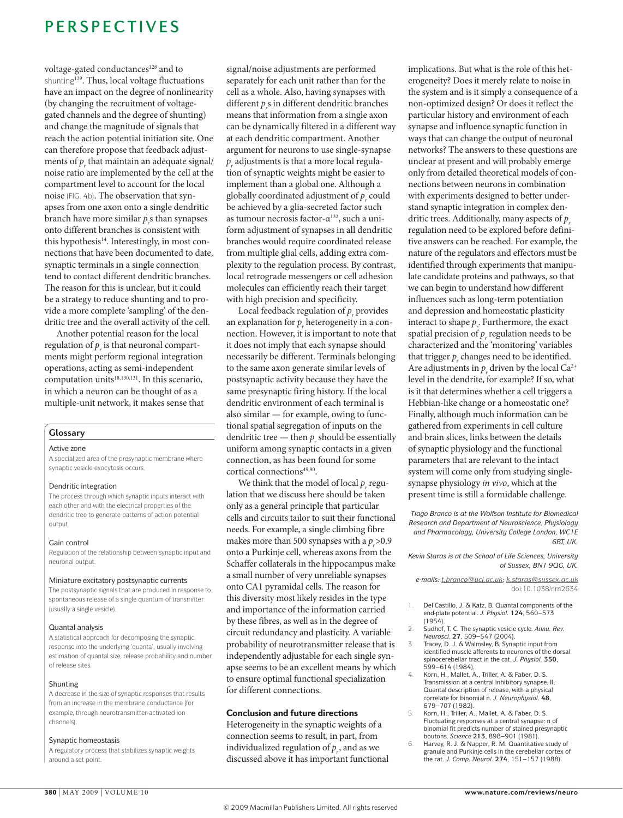voltage-gated conductances<sup>128</sup> and to shunting<sup>129</sup>. Thus, local voltage fluctuations have an impact on the degree of nonlinearity (by changing the recruitment of voltagegated channels and the degree of shunting) and change the magnitude of signals that reach the action potential initiation site. One can therefore propose that feedback adjustments of  $p_r$  that maintain an adequate signal/ noise ratio are implemented by the cell at the compartment level to account for the local noise (FIG. 4b). The observation that synapses from one axon onto a single dendritic branch have more similar  $p_r$ s than synapses onto different branches is consistent with this hypothesis $14$ . Interestingly, in most connections that have been documented to date, synaptic terminals in a single connection tend to contact different dendritic branches. The reason for this is unclear, but it could be a strategy to reduce shunting and to provide a more complete 'sampling' of the dendritic tree and the overall activity of the cell.

another potential reason for the local regulation of  $p_r$  is that neuronal compartments might perform regional integration operations, acting as semi-independent computation units $18,130,131$ . In this scenario, in which a neuron can be thought of as a multiple-unit network, it makes sense that

### **Glossary**

#### Active zone

A specialized area of the presynaptic membrane where synaptic vesicle exocytosis occurs.

#### Dendritic integration

The process through which synaptic inputs interact with each other and with the electrical properties of the dendritic tree to generate patterns of action potential output.

#### Gain control

Regulation of the relationship between synaptic input and neuronal output.

#### Miniature excitatory postsynaptic currents

The postsynaptic signals that are produced in response to spontaneous release of a single quantum of transmitter (usually a single vesicle).

### Quantal analysis

A statistical approach for decomposing the synaptic response into the underlying 'quanta', usually involving estimation of quantal size, release probability and number of release sites.

### Shunting

A decrease in the size of synaptic responses that results from an increase in the membrane conductance (for example, through neurotransmitter-activated ion channels).

#### Synaptic homeostasis

A regulatory process that stabilizes synaptic weights around a set point.

signal/noise adjustments are performed separately for each unit rather than for the cell as a whole. Also, having synapses with different *p<sub>r</sub>*s in different dendritic branches means that information from a single axon can be dynamically filtered in a different way at each dendritic compartment. Another argument for neurons to use single-synapse  $p<sub>r</sub>$  adjustments is that a more local regulation of synaptic weights might be easier to implement than a global one. Although a globally coordinated adjustment of  $p_r$  could be achieved by a glia-secreted factor such as tumour necrosis factor-α132, such a uniform adjustment of synapses in all dendritic branches would require coordinated release from multiple glial cells, adding extra complexity to the regulation process. By contrast, local retrograde messengers or cell adhesion molecules can efficiently reach their target with high precision and specificity.

Local feedback regulation of  $p_r$  provides an explanation for  $p_r$  heterogeneity in a connection. However, it is important to note that it does not imply that each synapse should necessarily be different. Terminals belonging to the same axon generate similar levels of postsynaptic activity because they have the same presynaptic firing history. If the local dendritic environment of each terminal is also similar — for example, owing to functional spatial segregation of inputs on the dendritic tree — then  $p_r$  should be essentially uniform among synaptic contacts in a given connection, as has been found for some cortical connections<sup>49,90</sup>.

We think that the model of local  $p_r$  regulation that we discuss here should be taken only as a general principle that particular cells and circuits tailor to suit their functional needs. For example, a single climbing fibre makes more than 500 synapses with a  $p_r$  > 0.9 onto a Purkinje cell, whereas axons from the Schaffer collaterals in the hippocampus make a small number of very unreliable synapses onto Ca1 pyramidal cells. The reason for this diversity most likely resides in the type and importance of the information carried by these fibres, as well as in the degree of circuit redundancy and plasticity. A variable probability of neurotransmitter release that is independently adjustable for each single synapse seems to be an excellent means by which to ensure optimal functional specialization for different connections.

### Conclusion and future directions

Heterogeneity in the synaptic weights of a connection seems to result, in part, from individualized regulation of  $p_r$ , and as we discussed above it has important functional

implications. But what is the role of this heterogeneity? Does it merely relate to noise in the system and is it simply a consequence of a non-optimized design? Or does it reflect the particular history and environment of each synapse and influence synaptic function in ways that can change the output of neuronal networks? The answers to these questions are unclear at present and will probably emerge only from detailed theoretical models of connections between neurons in combination with experiments designed to better understand synaptic integration in complex dendritic trees. Additionally, many aspects of  $p_{n}$ regulation need to be explored before definitive answers can be reached. For example, the nature of the regulators and effectors must be identified through experiments that manipulate candidate proteins and pathways, so that we can begin to understand how different influences such as long-term potentiation and depression and homeostatic plasticity interact to shape  $p_r$ . Furthermore, the exact spatial precision of  $p_r$  regulation needs to be characterized and the 'monitoring' variables that trigger  $p_r$  changes need to be identified. Are adjustments in  $p_r$  driven by the local Ca<sup>2+</sup> level in the dendrite, for example? If so, what is it that determines whether a cell triggers a Hebbian-like change or a homeostatic one? Finally, although much information can be gathered from experiments in cell culture and brain slices, links between the details of synaptic physiology and the functional parameters that are relevant to the intact system will come only from studying singlesynapse physiology *in vivo*, which at the present time is still a formidable challenge.

*Tiago Branco is at the Wolfson Institute for Biomedical Research and Department of Neuroscience, Physiology and Pharmacology, University College London, WC1E 6BT, UK.* 

*Kevin Staras is at the School of Life Sciences, University of Sussex, BN1 9QG, UK.*

*e-mails: [t.branco@ucl.ac.uk](mailto:t.branco@ucl.ac.uk); [k.staras@sussex.ac.uk](mailto:k.staras@sussex.ac.uk)* doi:10.1038/nrn2634

- 1. Del Castillo, J. & Katz, B. Quantal components of the end-plate potential. *J. Physiol.* **124**, 560–573 (1954).
- 2. Sudhof, T. C. The synaptic vesicle cycle. *Annu. Rev. Neurosci.* **27**, 509–547 (2004).
- 3. Tracey, D. J. & Walmsley, B. Synaptic input from identified muscle afferents to neurones of the dorsal spinocerebellar tract in the cat. *J. Physiol.* **350**, 599–614 (1984).
- 4. Korn, H., Mallet, A., Triller, A. & Faber, D. S. Transmission at a central inhibitory synapse. II. Quantal description of release, with a physical correlate for binomial n. *J. Neurophysiol.* **48**, 679–707 (1982).
- 5. Korn, H., Triller, A., Mallet, A. & Faber, D. S. Fluctuating responses at a central synapse: n of binomial fit predicts number of stained presynaptic boutons. *Science* **213**, 898–901 (1981).
- 6. Harvey, R. J. & Napper, R. M. Quantitative study of granule and Purkinje cells in the cerebellar cortex of the rat. *J. Comp. Neurol.* **274**, 151–157 (1988).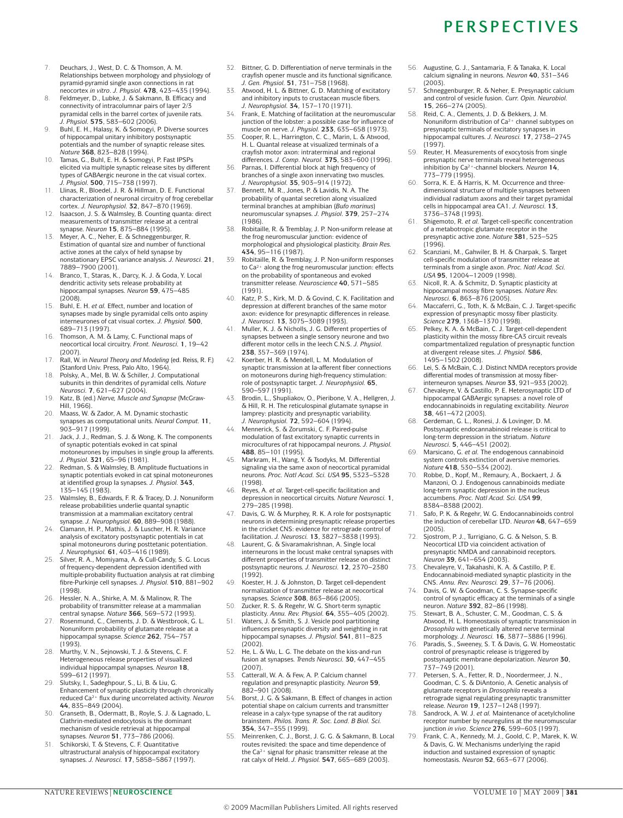**PFRSPFCTIVES** 

- 7. Deuchars, J., West, D. C. & Thomson, A. M. Relationships between morphology and physiology of pyramid-pyramid single axon connections in rat neocortex *in vitro*. *J. Physiol.* **478**, 423–435 (1994).
- 8. Feldmeyer, D., Lubke, J. & Sakmann, B. Efficacy and connectivity of intracolumnar pairs of layer 2/3 pyramidal cells in the barrel cortex of juvenile rats. *J. Physiol.* **575**, 583–602 (2006).
- 9. Buhl, E. H., Halasy, K. & Somogyi, P. Diverse sources of hippocampal unitary inhibitory postsynaptic potentials and the number of synaptic release sites. *Nature* **368**, 823–828 (1994).
- 10. Tamas, G., Buhl, E. H. & Somogyi, P. Fast IPSPs elicited via multiple synaptic release sites by different types of GABAergic neurone in the cat visual cortex. *J. Physiol.* **500**, 715–738 (1997).
- 11. Llinas, R., Bloedel, J. R. & Hillman, D. E. Functional characterization of neuronal circuitry of frog cerebellar cortex. *J. Neurophysiol.* **32**, 847–870 (1969).
- 12. Isaacson, J. S. & Walmsley, B. Counting quanta: direct measurements of transmitter release at a central synapse. *Neuron* **15**, 875–884 (1995).
- 13. Meyer, A. C., Neher, E. & Schneggenburger, R. Estimation of quantal size and number of functional active zones at the calyx of held synapse by nonstationary EPSC variance analysis. *J. Neurosci.* **21**, 7889–7900 (2001).
- 14. Branco, T., Staras, K., Darcy, K. J. & Goda, Y. Local dendritic activity sets release probability at hippocampal synapses. *Neuron* **59**, 475–485 (2008).
- 15. Buhl, E. H. *et al.* Effect, number and location of synapses made by single pyramidal cells onto aspiny interneurones of cat visual cortex. *J. Physiol.* **500**, 689–713 (1997).
- 16. Thomson, A. M. & Lamy, C. Functional maps of neocortical local circuitry. *Front. Neurosci.* **1**, 19–42 (2007).
- 17. Rall, W. in *Neural Theory and Modeling* (ed. Reiss, R. F.) (Stanford Univ. Press, Palo Alto, 1964).
- 18. Polsky, A., Mel, B. W. & Schiller, J. Computational subunits in thin dendrites of pyramidal cells. *Nature Neurosci.* **7**, 621–627 (2004).
- 19. Katz, B. (ed.) *Nerve, Muscle and Synapse* (McGraw-Hill, 1966).
- 20. Maass, W. & Zador, A. M. Dynamic stochastic synapses as computational units. *Neural Comput.* **11**, 903–917 (1999).
- 21. Jack, J. J., Redman, S. J. & Wong, K. The components of synaptic potentials evoked in cat spinal motoneurones by impulses in single group Ia afferents. *J. Physiol.* **321**, 65–96 (1981).
- 22. Redman, S. & Walmsley, B. Amplitude fluctuations in synaptic potentials evoked in cat spinal motoneurones at identified group Ia synapses. *J. Physiol.* **343**, 135–145 (1983).
- 23. Walmsley, B., Edwards, F. R. & Tracey, D. J. Nonuniform release probabilities underlie quantal synaptic transmission at a mammalian excitatory central synapse. *J. Neurophysiol.* **60**, 889–908 (1988).
- Clamann, H. P., Mathis, J. & Luscher, H. R. Variance analysis of excitatory postsynaptic potentials in cat spinal motoneurons during posttetanic potentiation.
- *J. Neurophysiol.* **61**, 403–416 (1989). 25. Silver, R. A., Momiyama, A. & Cull-Candy, S. G. Locus of frequency-dependent depression identified with multiple-probability fluctuation analysis at rat climbing fibre-Purkinje cell synapses. *J. Physiol.* **510**, 881–902 (1998).
- 26. Hessler, N. A., Shirke, A. M. & Malinow, R. The probability of transmitter release at a mammalian central synapse. *Nature* **366**, 569–572 (1993).
- 27. Rosenmund, C., Clements, J. D. & Westbrook, G. L. Nonuniform probability of glutamate release at a hippocampal synapse. *Science* **262**, 754–757  $(1993)$
- 28. Murthy, V. N., Sejnowski, T. J. & Stevens, C. F. Heterogeneous release properties of visualized individual hippocampal synapses. *Neuron* **18**, 599–612 (1997).
- 29. Slutsky, I., Sadeghpour, S., Li, B. & Liu, G. Enhancement of synaptic plasticity through chronically reduced Ca2+ flux during uncorrelated activity. *Neuron* **44**, 835–849 (2004).
- 30. Granseth, B., Odermatt, B., Royle, S. J. & Lagnado, L. Clathrin-mediated endocytosis is the dominant mechanism of vesicle retrieval at hippocampal synapses. *Neuron* **51**, 773–786 (2006).
- Schikorski, T. & Stevens, C. F. Quantitative ultrastructural analysis of hippocampal excitatory synapses. *J. Neurosci.* **17**, 5858–5867 (1997).
- 32. Bittner, G. D. Differentiation of nerve terminals in the crayfish opener muscle and its functional significance. *J. Gen. Physiol.* **51**, 731–758 (1968).
- 33. Atwood, H. L. & Bittner, G. D. Matching of excitatory and inhibitory inputs to crustacean muscle fibers. *J. Neurophysiol.* **34**, 157–170 (1971).
- 34. Frank, E. Matching of facilitation at the neuromuscular junction of the lobster: a possible case for influence of muscle on nerve. *J. Physiol.* **233**, 635–658 (1973).
- 35. Cooper, R. L., Harrington, C. C., Marin, L. & Atwood, H. L. Quantal release at visualized terminals of a crayfish motor axon: intraterminal and regional differences. *J. Comp. Neurol.* **375**, 583–600 (1996).
- 36. Parnas, I. Differential block at high frequency of branches of a single axon innervating two muscles. *J. Neurophysiol.* **35**, 903–914 (1972).
- Bennett, M. R., Jones, P. & Lavidis, N. A. The probability of quantal secretion along visualized terminal branches at amphibian (*Bufo marinus*) neuromuscular synapses. *J. Physiol.* **379**, 257–274 (1986).
- 38. Robitaille, R. & Tremblay, J. P. Non-uniform release at the frog neuromuscular junction: evidence of morphological and physiological plasticity. *Brain Res.* **434**, 95–116 (1987).
- 39. Robitaille, R. & Tremblay, J. P. Non-uniform responses to  $Ca^{2+}$  along the frog neuromuscular junction: effects on the probability of spontaneous and evoked transmitter release. *Neuroscience* **40**, 571–585 (1991).
- 40. Katz, P. S., Kirk, M. D. & Govind, C. K. Facilitation and depression at different branches of the same motor axon: evidence for presynaptic differences in release. *J. Neurosci.* **13**, 3075–3089 (1993).
- 41. Muller, K. J. & Nicholls, J. G. Different properties of synapses between a single sensory neurone and two different motor cells in the leech C.N.S. *J. Physiol.* **238**, 357–369 (1974).
- 42. Koerber, H. R. & Mendell, L. M. Modulation of synaptic transmission at Ia-afferent fiber connections on motoneurons during high-frequency stimulation: role of postsynaptic target. *J. Neurophysiol.* **65**, 590–597 (1991).
- Brodin, L., Shupliakov, O., Pieribone, V. A., Hellgren, J. & Hill, R. H. The reticulospinal glutamate synapse in lamprey: plasticity and presynaptic variability. *J. Neurophysiol.* **72**, 592–604 (1994).
- 44. Mennerick, S. & Zorumski, C. F. Paired-pulse modulation of fast excitatory synaptic currents in microcultures of rat hippocampal neurons. *J. Physiol.* **488**, 85–101 (1995).
- 45. Markram, H., Wang, Y. & Tsodyks, M. Differential signaling via the same axon of neocortical pyramidal neurons. *Proc. Natl Acad. Sci. USA* **95**, 5323–5328 (1998).
- 46. Reyes, A. *et al.* Target-cell-specific facilitation and depression in neocortical circuits. *Nature Neurosci.* **1**, 279–285 (1998).
- 47. Davis, G. W. & Murphey, R. K. A role for postsynaptic neurons in determining presynaptic release properties in the cricket CNS: evidence for retrograde control of facilitation. *J. Neurosci.* **13**, 3827–3838 (1993).
- 48. Laurent, G. & Sivaramakrishnan, A. Single local interneurons in the locust make central synapses with different properties of transmitter release on distinct postsynaptic neurons. *J. Neurosci.* **12**, 2370–2380 (1992).
- 49. Koester, H. J. & Johnston, D. Target cell-dependent normalization of transmitter release at neocortical synapses. *Science* **308**, 863–866 (2005).
- 50. Zucker, R. S. & Regehr, W. G. Short-term synaptic plasticity. *Annu. Rev. Physiol.* **64**, 355–405 (2002).
- 51. Waters, J. & Smith, S. J. Vesicle pool partitioning influences presynaptic diversity and weighting in rat hippocampal synapses. *J. Physiol.* **541**, 811–823  $(2002)$
- 52. He, L. & Wu, L. G. The debate on the kiss-and-run fusion at synapses. *Trends Neurosci.* **30**, 447–455 (2007).
- 53. Catterall, W. A. & Few, A. P. Calcium channel regulation and presynaptic plasticity. *Neuron* **59**, 882–901 (2008).
- 54. Borst, J. G. & Sakmann, B. Effect of changes in action potential shape on calcium currents and transmitter release in a calyx-type synapse of the rat auditory brainstem. *Philos. Trans. R. Soc. Lond. B Biol. Sci.* **354**, 347–355 (1999).
- 55. Meinrenken, C. J., Borst, J. G. G. & Sakmann, B. Local routes revisited: the space and time dependence of the Ca2+ signal for phasic transmitter release at the rat calyx of Held. *J. Physiol.* **547**, 665–689 (2003).
- 56. Augustine, G. J., Santamaria, F. & Tanaka, K. Local calcium signaling in neurons. *Neuron* **40**, 331–346 (2003).
- 57. Schneggenburger, R. & Neher, E. Presynaptic calcium and control of vesicle fusion. *Curr. Opin. Neurobiol.* **15**, 266–274 (2005).
- 58. Reid, C. A., Clements, J. D. & Bekkers, J. M. Nonuniform distribution of Ca2+ channel subtypes on presynaptic terminals of excitatory synapses in hippocampal cultures. *J. Neurosci.* **17**, 2738–2745  $(1997)$
- 59. Reuter, H. Measurements of exocytosis from single presynaptic nerve terminals reveal heterogeneous inhibition by Ca2+-channel blockers. *Neuron* **14**, 773–779 (1995).
- 60. Sorra, K. E. & Harris, K. M. Occurrence and threedimensional structure of multiple synapses between individual radiatum axons and their target pyramidal cells in hippocampal area CA1. *J. Neurosci.* **13**, 3736–3748 (1993).
- 61. Shigemoto, R. *et al.* Target-cell-specific concentration of a metabotropic glutamate receptor in the presynaptic active zone. *Nature* **381**, 523–525  $(1996)$
- 62. Scanziani, M., Gahwiler, B. H. & Charpak, S. Target cell-specific modulation of transmitter release a terminals from a single axon. *Proc. Natl Acad. Sci. USA* **95**, 12004–12009 (1998).
- 63. Nicoll, R. A. & Schmitz, D. Synaptic plasticity at hippocampal mossy fibre synapses. *Nature Rev. Neurosci.* **6**, 863–876 (2005).
- 64. Maccaferri, G., Toth, K. & McBain, C. J. Target-specific expression of presynaptic mossy fiber plasticity. *Science* **279**, 1368–1370 (1998).
- 65. Pelkey, K. A. & McBain, C. J. Target-cell-dependent plasticity within the mossy fibre-CA3 circuit reveals compartmentalized regulation of presynaptic function at divergent release sites. *J. Physiol.* **586**, 1495–1502 (2008).
- 66. Lei, S. & McBain, C. J. Distinct NMDA receptors provide differential modes of transmission at mossy fiber-
- interneuron synapses. *Neuron* **33**, 921–933 (2002). 67. Chevaleyre, V. & Castillo, P. E. Heterosynaptic LTD of hippocampal GABAergic synapses: a novel role of endocannabinoids in regulating excitability. *Neuron* **38**, 461–472 (2003).
- 68. Gerdeman, G. L., Ronesi, J. & Lovinger, D. M. Postsynaptic endocannabinoid release is critical to long-term depression in the striatum. *Nature Neurosci.* **5**, 446–451 (2002).
- Marsicano, G. et al. The endogenous cannabinoid system controls extinction of aversive memories. *Nature* **418**, 530–534 (2002).
- 70. Robbe, D., Kopf, M., Remaury, A., Bockaert, J. & Manzoni, O. J. Endogenous cannabinoids mediate long-term synaptic depression in the nucleus accumbens. *Proc. Natl Acad. Sci. USA* **99**,
- 8384–8388 (2002). 71. Safo, P. K. & Regehr, W. G. Endocannabinoids control the induction of cerebellar LTD. *Neuron* **48**, 647–659 (2005).
- 72. Sjostrom, P. J., Turrigiano, G. G. & Nelson, S. B. Neocortical LTD via coincident activation of presynaptic NMDA and cannabinoid receptors. *Neuron* **39**, 641–654 (2003).
- 73. Chevaleyre, V., Takahashi, K. A. & Castillo, P. E. Endocannabinoid-mediated synaptic plasticity in the CNS. *Annu. Rev. Neurosci.* **29**, 37–76 (2006).
- 74. Davis, G. W. & Goodman, C. S. Synapse-specific control of synaptic efficacy at the terminals of a single neuron. *Nature* **392**, 82–86 (1998).
- Stewart, B. A., Schuster, C. M., Goodman, C. S. & Atwood, H. L. Homeostasis of synaptic transmission in *Drosophila* with genetically altered nerve terminal morphology. *J. Neurosci.* **16**, 3877–3886 (1996).
- 76. Paradis, S., Sweeney, S. T. & Davis, G. W. Homeostatic control of presynaptic release is triggered by postsynaptic membrane depolarization. *Neuron* **30**, 737–749 (2001).
- 77. Petersen, S. A., Fetter, R. D., Noordermeer, J. N., Goodman, C. S. & DiAntonio, A. Genetic analysis of glutamate receptors in *Drosophila* reveals a retrograde signal regulating presynaptic transmitter release. *Neuron* **19**, 1237–1248 (1997).
- Sandrock, A. W. J. et al. Maintenance of acetylcholine receptor number by neuregulins at the neuromuscular junction *in vivo*. *Science* **276**, 599–603 (1997).
- 79. Frank, C. A., Kennedy, M. J., Goold, C. P., Marek, K. W. & Davis, G. W. Mechanisms underlying the rapid induction and sustained expression of synaptic homeostasis. *Neuron* **52**, 663–677 (2006).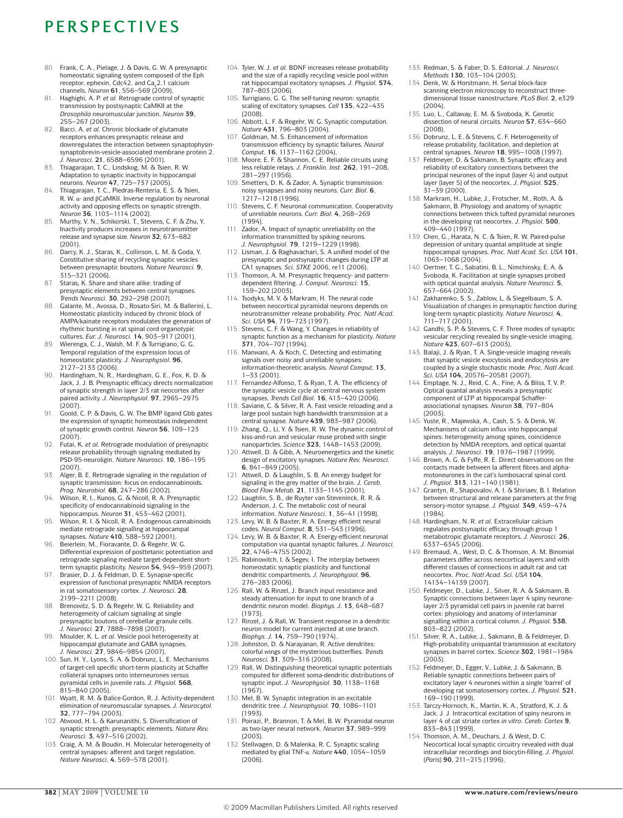- 80. Frank, C. A., Pielage, J. & Davis, G. W. A presynaptic homeostatic signaling system composed of the Eph receptor, ephexin, Cdc42, and Ca<sub>v</sub>2.1 calcium<br>channels. *Neuron* **61**, 556–569 (2009).
- 81. Haghighi, A. P. *et al.* Retrograde control of synaptic transmission by postsynaptic CaMKII at the *Drosophila* neuromuscular junction. *Neuron* **39**, 255–267 (2003).
- 82. Bacci, A. *et al.* Chronic blockade of glutamate receptors enhances presynaptic release and downregulates the interaction between synaptophysinsynaptobrevin-vesicle-associated membrane protein 2. *J. Neurosci.* **21**, 6588–6596 (2001).
- 83. Thiagarajan, T. C., Lindskog, M. & Tsien, R. W. Adaptation to synaptic inactivity in hippocampal neurons. *Neuron* **47**, 725–737 (2005).
- Thiagarajan, T. C., Piedras-Renteria, E. S. & Tsien, R. W. α- and βCaMKII. Inverse regulation by neuronal activity and opposing effects on synaptic strength. *Neuron* **36**, 1103–1114 (2002).
- 85. Murthy, V. N., Schikorski, T., Stevens, C. F. & Zhu, Y. Inactivity produces increases in neurotransmitter release and synapse size. *Neuron* **32**, 673–682 (2001).
- 86. Darcy, K. J., Staras, K., Collinson, L. M. & Goda, Y. Constitutive sharing of recycling synaptic vesicles between presynaptic boutons. *Nature Neurosci.* **9**, 315–321 (2006).
- 87. Staras, K. Share and share alike: trading of presynaptic elements between central synapses. *Trends Neurosci.* **30**, 292–298 (2007).
- 88. Galante, M., Avossa, D., Rosato-Siri, M. & Ballerini, L. Homeostatic plasticity induced by chronic block of AMPA/kainate receptors modulates the generation of rhythmic bursting in rat spinal cord organotypic
- cultures. *Eur. J. Neurosci.* **14**, 903–917 (2001). 89. Wierenga, C. J., Walsh, M. F. & Turrigiano, G. G. Temporal regulation of the expression locus of homeostatic plasticity. *J. Neurophysiol.* **96**, 2127–2133 (2006).
- 90. Hardingham, N. R., Hardingham, G. E., Fox, K. D. & Jack, J. J. B. Presynaptic efficacy directs normalization of synaptic strength in layer 2/3 rat neocortex after paired activity. *J. Neurophysiol.* **97**, 2965–2975 (2007).
- 91. Goold, C. P. & Davis, G. W. The BMP ligand Gbb gates the expression of synaptic homeostasis independent of synaptic growth control. *Neuron* **56**, 109–123 (2007).
- 92. Futai, K. *et al.* Retrograde modulation of presynaptic release probability through signaling mediated by PSD-95-neuroligin. *Nature Neurosci.* **10**, 186–195 (2007).
- 93. Alger, B. E. Retrograde signaling in the regulation of synaptic transmission: focus on endocannabinoids. *Prog. Neurobiol.* **68**, 247–286 (2002).
- 94. Wilson, R. I., Kunos, G. & Nicoll, R. A. Presynaptic specificity of endocannabinoid signaling in the hippocampus. *Neuron* **31**, 453–462 (2001). 95. Wilson, R. I. & Nicoll, R. A. Endogenous cannabinoids
- mediate retrograde signalling at hippocampal synapses. *Nature* **410**, 588–592 (2001).
- 96. Beierlein, M., Fioravante, D. & Regehr, W. G. Differential expression of posttetanic potentiation and retrograde signaling mediate target-dependent shortterm synaptic plasticity. *Neuron* **54**, 949–959 (2007).
- Brasier, D. J. & Feldman, D. E. Synapse-specific expression of functional presynaptic NMDA receptors in rat somatosensory cortex. *J. Neurosci.* **28**, 2199–2211 (2008).
- 98. Brenowitz, S. D. & Regehr, W. G. Reliability and heterogeneity of calcium signaling at single presynaptic boutons of cerebellar granule cells. *J. Neurosci.* **27**, 7888–7898 (2007).
- 99. Moulder, K. L. *et al.* Vesicle pool heterogeneity at hippocampal glutamate and GABA synapses. *J. Neurosci.* **27**, 9846–9854 (2007).
- 100. Sun, H. Y., Lyons, S. A. & Dobrunz, L. E. Mechanisms of target-cell specific short-term plasticity at Schaffer collateral synapses onto interneurones versus pyramidal cells in juvenile rats. *J. Physiol.* **568**, 815–840 (2005).
- 101. Wyatt, R. M. & Balice-Gordon, R. J. Activity-dependent elimination of neuromuscular synapses. *J. Neurocytol.* **32**, 777–794 (2003).
- 102. Atwood, H. L. & Karunanithi, S. Diversification of synaptic strength: presynaptic elements. *Nature Rev. Neurosci.* **3**, 497–516 (2002).
- 103. Craig, A. M. & Boudin, H. Molecular heterogeneity of central synapses: afferent and target regulation. *Nature Neurosci.* **4**, 569–578 (2001).
- 104. Tyler, W. J. *et al.* BDNF increases release probability and the size of a rapidly recycling vesicle pool within rat hippocampal excitatory synapses. *J. Physiol.* **574**, 787–803 (2006).
- 105. Turrigiano, G. G. The self-tuning neuron: synaptic scaling of excitatory synapses. *Cell* **135**, 422–435  $(2008)$
- 106. Abbott, L. F. & Regehr, W. G. Synaptic computation. *Nature* **431**, 796–803 (2004).
- 107. Goldman, M. S. Enhancement of information transmission efficiency by synaptic failures. *Neural Comput.* **16**, 1137–1162 (2004).
- 108. Moore, E. F. & Shannon, C. E. Reliable circuits using less reliable relays. *J. Franklin. Inst.* **262**, 191–208, 281–297 (1956).
- 109. Smetters, D. K. & Zador, A. Synaptic transmission: noisy synapses and noisy neurons. *Curr. Biol.* **6**, 1217–1218 (1996).
- 110. Stevens, C. F. Neuronal communication. Cooperativity of unreliable neurons. *Curr. Biol.* **4**, 268–269 (1994).
- 111. Zador, A. Impact of synaptic unreliability on the information transmitted by spiking neurons. *J. Neurophysiol.* **79**, 1219–1229 (1998).
- 112. Lisman, J. & Raghavachari, S. A unified model of the presynaptic and postsynaptic changes during LTP at CA1 synapses. *Sci. STKE* 2006, re11 (2006).
- Thomson, A. M. Presynaptic frequency- and patterndependent filtering. *J. Comput. Neurosci.* **15**, 159–202 (2003).
- 114. Tsodyks, M. V. & Markram, H. The neural code between neocortical pyramidal neurons depends on neurotransmitter release probability. *Proc. Natl Acad. Sci. USA* **94**, 719–723 (1997).
- 115. Stevens, C. F. & Wang, Y. Changes in reliability of synaptic function as a mechanism for plasticity. *Nature* **371**, 704–707 (1994).
- 116. Manwani, A. & Koch, C. Detecting and estimating signals over noisy and unreliable synapses: information-theoretic analysis. *Neural Comput.* **13**, 1–33 (2001).
- 117. Fernandez-Alfonso, T. & Ryan, T. A. The efficiency of the synaptic vesicle cycle at central nervous system synapses. *Trends Cell Biol.* **16**, 413–420 (2006).
- 118. Saviane, C. & Silver, R. A. Fast vesicle reloading and a large pool sustain high bandwidth transmission at a central synapse. *Nature* **439**, 983–987 (2006).
- 119. Zhang, Q., Li, Y. & Tsien, R. W. The dynamic control of kiss-and-run and vesicular reuse probed with single nanoparticles. *Science* **323**, 1448–1453 (2009).
- 120. Attwell, D. & Gibb, A. Neuroenergetics and the kinetic design of excitatory synapses. *Nature Rev. Neurosci.* **6**, 841–849 (2005).
- 121. Attwell, D. & Laughlin, S. B. An energy budget for signaling in the grey matter of the brain. *J. Cereb. Blood Flow Metab.* **21**, 1133–1145 (2001).
- 122. Laughlin, S. B., de Ruyter van Steveninck, R. R. & Anderson, J. C. The metabolic cost of neural information. *Nature Neurosci.* **1**, 36–41 (1998).
- 123. Levy, W. B. & Baxter, R. A. Energy efficient neural codes. *Neural Comput.* **8**, 531–543 (1996).
- 124. Levy, W. B. & Baxter, R. A. Energy-efficient neuronal computation via quantal synaptic failures. *J. Neurosci.*
- **22**, 4746–4755 (2002). 125. Rabinowitch, I. & Segev, I. The interplay between homeostatic synaptic plasticity and functional dendritic compartments. *J. Neurophysiol.* **96**, 276–283 (2006).
- 126. Rall, W. & Rinzel, J. Branch input resistance and steady attenuation for input to one branch of a dendritic neuron model. *Biophys. J.* **13**, 648–687 (1973).
- 127. Rinzel, J. & Rall, W. Transient response in a dendritic neuron model for current injected at one branch. *Biophys. J.* **14**, 759–790 (1974).
- 128. Johnston, D. & Narayanan, R. Active dendrites: colorful wings of the mysterious butterflies. *Trends Neurosci.* **31**, 309–316 (2008).
- 129. Rall, W. Distinguishing theoretical synaptic potentials computed for different soma-dendritic distributions of synaptic input. *J. Neurophysiol.* **30**, 1138–1168  $(1967)$
- 130. Mel, B. W. Synaptic integration in an excitable dendritic tree. *J. Neurophysiol.* **70**, 1086–1101 (1993)
- 131. Poirazi, P., Brannon, T. & Mel, B. W. Pyramidal neuron as two-layer neural network. *Neuron* **37**, 989–999 (2003).
- 132. Stellwagen, D. & Malenka, R. C. Synaptic scaling mediated by glial TNF-α. *Nature* **440**, 1054–1059  $(2006)$
- 133. Redman, S. & Faber, D. S. Editorial. *J. Neurosci. Methods* **130**, 103–104 (2003).
- 134. Denk, W. & Horstmann, H. Serial block-face scanning electron microscopy to reconstruct threedimensional tissue nanostructure. *PLoS Biol.* **2**, e329 (2004).
- 135. Luo, L., Callaway, E. M. & Svoboda, K. Genetic dissection of neural circuits. *Neuron* **57**, 634–660 (2008).
- 136. Dobrunz, L. E. & Stevens, C. F. Heterogeneity of release probability, facilitation, and depletion at central synapses. *Neuron* **18**, 995–1008 (1997).
- 137. Feldmeyer, D. & Sakmann, B. Synaptic efficacy and reliability of excitatory connections between the principal neurones of the input (layer 4) and output layer (layer 5) of the neocortex. *J. Physiol.* **525**, 31–39 (2000).
- 138. Markram, H., Lubke, J., Frotscher, M., Roth, A. & Sakmann, B. Physiology and anatomy of synaptic connections between thick tufted pyramidal neurones in the developing rat neocortex. *J. Physiol.* **500**, 409–440 (1997).
- 139. Chen, G., Harata, N. C. & Tsien, R. W. Paired-pulse depression of unitary quantal amplitude at single hippocampal synapses. *Proc. Natl Acad. Sci. USA* **101**, 1063–1068 (2004).
- 140. Oertner, T. G., Sabatini, B. L., Nimchinsky, E. A. & Svoboda, K. Facilitation at single synapses probed with optical quantal analysis. *Nature Neurosci.* **5**, 657–664 (2002).
- 141. Zakharenko, S. S., Zablow, L. & Siegelbaum, S. A. Visualization of changes in presynaptic function during long-term synaptic plasticity. *Nature Neurosci.* **4**, 711–717 (2001).
- 142. Gandhi, S. P. & Stevens, C. F. Three modes of synaptic vesicular recycling revealed by single-vesicle imaging.
- *Nature* **423**, 607–613 (2003). 143. Balaji, J. & Ryan, T. A. Single-vesicle imaging reveals that synaptic vesicle exocytosis and endocytosis are coupled by a single stochastic mode. *Proc. Natl Acad. Sci. USA* **104**, 20576–20581 (2007).
- 144. Emptage, N. J., Reid, C. A., Fine, A. & Bliss, T. V. P. Optical quantal analysis reveals a presynaptic component of LTP at hippocampal Schafferassociational synapses. *Neuron* **38**, 797–804 (2003).
- 145. Yuste, R., Majewska, A., Cash, S. S. & Denk, W. Mechanisms of calcium influx into hippocampal spines: heterogeneity among spines, coincidence detection by NMDA receptors, and optical quantal analysis. *J. Neurosci.* **19**, 1976–1987 (1999).
- 146. Brown, A. G. & Fyffe, R. E. Direct observations on the contacts made between Ia afferent fibres and alpha-motoneurones in the cat's lumbosacral spinal cord. *J. Physiol.* **313**, 121–140 (1981).
- 147. Grantyn, R., Shapovalov, A. I. & Shiriaev, B. I. Relation between structural and release parameters at the frog sensory-motor synapse. *J. Physiol.* **349**, 459–474 (1984).
- 148. Hardingham, N. R. *et al.* Extracellular calcium regulates postsynaptic efficacy through group 1 metabotropic glutamate receptors. *J. Neurosci.* **26**, 6337–6345 (2006).
- 149. Bremaud, A., West, D. C. & Thomson, A. M. Binomial parameters differ across neocortical layers and with different classes of connections in adult rat and cat neocortex. *Proc. Natl Acad. Sci. USA* **104**, 14134–14139 (2007).
- 150. Feldmeyer, D., Lubke, J., Silver, R. A. & Sakmann, B. Synaptic connections between layer 4 spiny neuronelayer 2/3 pyramidal cell pairs in juvenile rat barrel cortex: physiology and anatomy of interlaminar signalling within a cortical column. *J. Physiol.* **538**, 803–822 (2002).
- 151. Silver, R. A., Lubke, J., Sakmann, B. & Feldmeyer, D. High-probability uniquantal transmission at excitatory synapses in barrel cortex. *Science* **302**, 1981–1984 (2003).
- 152. Feldmeyer, D., Egger, V., Lubke, J. & Sakmann, B. Reliable synaptic connections between pairs of excitatory layer 4 neurones within a single 'barrel' of developing rat somatosensory cortex. *J. Physiol.* **521**, 169–190 (1999).
- 153. Tarczy-Hornoch, K., Martin, K. A., Stratford, K. J. & Jack, J. J. Intracortical excitation of spiny neurons in layer 4 of cat striate cortex *in vitro*. *Cereb. Cortex* **9**, 833–843 (1999).
- 154. Thomson, A. M., Deuchars, J. & West, D. C. Neocortical local synaptic circuitry revealed with dual intracellular recordings and biocytin-filling. *J. Physiol.*  (*Paris*) **90**, 211–215 (1996).